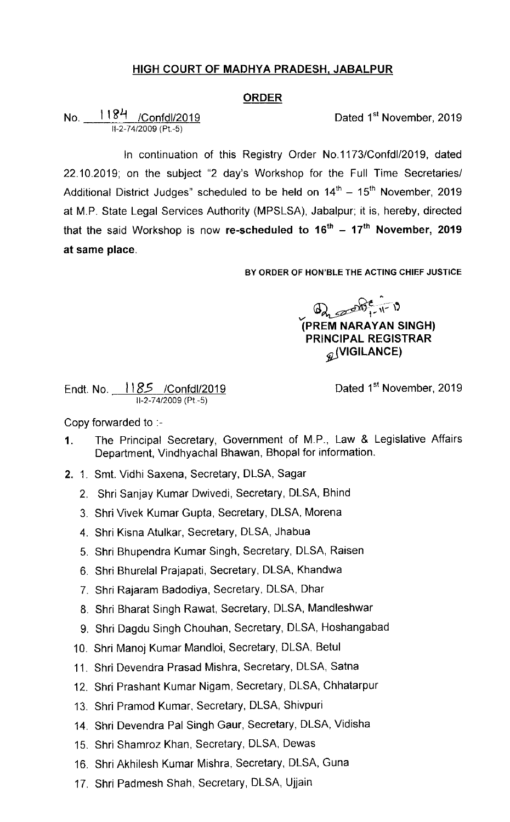## HIGH COURT OF MADHYA PRADESH, JABALPUR

## **ORDER**

No. \_\_\_<del>1184</del> /Confdl/2019 \_\_\_\_\_\_\_\_\_\_\_\_\_\_\_\_\_\_\_\_\_\_\_\_\_Dated 1<sup>st</sup> November, 2019 11,2-74/2009 (Pt-5)

ln continuation of this Registry Order No.1173/Confdl/2019, dated 22.10.2019; on the subject "2 day's Workshop for the Full Time Secretaries/ Additional District Judges" scheduled to be held on  $14^{th} - 15^{th}$  November, 2019 at M.P. State Legal Services Authority (MPSLSA), Jabalpur; it is, hereby, directed that the said Workshop is now re-scheduled to  $16<sup>th</sup> - 17<sup>th</sup>$  November, 2019 at same place.

BY ORDER OF HON'BLE THE ACTING CHIEF JUSTICE

 $\frac{e}{1-\lambda} = \frac{1}{2}$ 

(PREM NARAYAN SINGH) PRINCIPAL REGISTRAR  $Q$ (VIGILANCE)

Endt.No. Il8L5 /Confdl/2019 Dated 1 St November, 2019 11-2-74/2009 (Pt -5)

Copy forwarded to :-

- 1. The Principal Secretary, Government of M.P., Law & Legislative Affairs Department, Vindhyachal Bhawan, Bhopal for information.
- 2.1. Smt. Vidhi Saxena, Secretary, DLSA, Sagar
	- 2. Shri Sanjay Kumar Dwivedi, Secretary, DLSA, Bhind
	- 3. Shri Vivek Kumar Gupta, Secretary, DLSA, Morena
	- 4. Shri Kisna Atulkar, Secretary, DLSA, Jhabua
	- 5. Shri Bhupendra Kumar Singh, Secretary, DLSA, Raisen
	- 6. Shri Bhurelal Prajapati, Secretary, DLSA, Khandwa
	- 7. Shri Rajaram Badodiya, Secretary, DLSA, Dhar
	- 8. Shri Bharat Singh Rawat, Secretary, DLSA, Mandleshwar
	- 9. Shri Dagdu Singh Chouhan, Secretary, DLSA, Hoshangabad
	- 10. Shri Manoj Kumar Mandloi, Secretary, DLSA. Betul
	- 11. Shri Devendra Prasad Mishra, Secretary, DLSA, Satna
	- 12. Shri Prashant Kumar Nigam, Secretary, DLSA, Chhatarpur
	- 13. Shri Pramod Kumar, Secretary, DLSA, Shivpuri
	- 14. Shri Devendra Pal Singh Gaur, Secretary, DLSA, Vidisha
	- 15` Shri Shamroz Khan, Secretary, DLSA, Dewas
	- 16. Shri Akhilesh Kumar Mishra, Secretary, DLSA, Guna
	- 17. Shri Padmesh Shah, Secretary, DLSA, Ujjain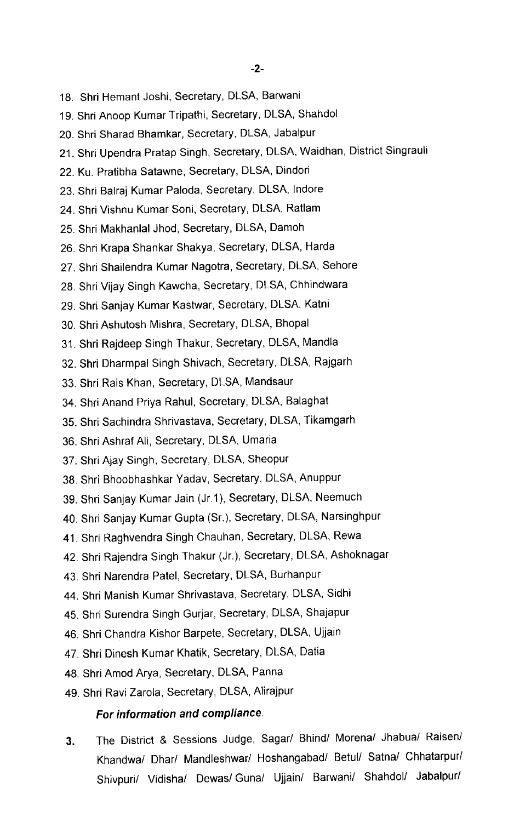- 18. Shri Hemant Joshi, Secretary, DLSA, Barwani
- 19. Shri Anoop Kumar Tripathi, Secretary, DLSA, Shahdol
- 20. Shri Sharad Bhamkar, Secretary, DLSA, Jabalpur
- 21. Shri Upendra Pratap Singh, Secretary, DLSA, Waidhan, District Singrauli
- 22. Ku. Pratibha Satawne, Secretary, DLSA, Dindori
- 23. Shri Balraj Kumar Paloda, Secretary, DLSA, lndore
- 24. Shri Vishnu Kumar Soni, Secretary, DLSA, Ratlam
- 25. Shri Makhanlal Jhod, Secretary, DLSA, Damon
- 26. Shri Krapa Shankar Shakya, Secretary, DLSA, Harda
- 27. Shri Shailendra Kumar Nagotra, Secretary, DLSA, Sehore
- 28. Shri Vijay Singh Kawcha, Secretary, DLSA, Chhindwara
- 29. Shri Sanjay Kumar Kastwar, Secretary, DLSA, Katni
- 30. Shri Ashutosh Mishra, Secretary, DLSA, Bhopal
- 31. Shri Rajdeep Singh Thakur, Secretary, DLSA, Mandla
- 32. Shri Dharmpal Singh Shivach, Secretary, DLSA, Rajgarh
- 33. Shri Rais Khan, Secretary, DLSA, Mandsaur
- 34. Shri Anand Priya Rahul, Secretary, DLSA, Balaghat
- 35. Shri Sachindra Shrivastava, Secretary, DLSA, Tikamgarh
- 36. Shri Ashraf Ali, Secretary, DLSA, Umaria
- 37. Shri Ajay Singh, Secretary, DLSA, Sheopur
- 38. Shri Bhoobhashkar Yadav, Secretary, DLSA, Anuppur
- 39. Shri Sanjay Kumar Jain (Jr.1 ), Secretary, DLSA, Neemuch
- 40. Shri Sanjay Kumar Gupta (Sr.), Secretary, DLSA, Narsinghpur
- 41. Shri Raghvendra Singh Chauhan, Secretary, DLSA, Rewa
- 42. Shri Rajendra Singh Thakur (Jr.), Secretary, DLSA, Ashoknagar
- 43. Shri Narendra Patel, Secretary, DLSA, Burhanpur
- 44. Shri Manish Kumar Shrivastava, Secretary, DLSA, Sidhi
- 45. Shri Surendra Slngh Gurjar, Secretary, DLSA, Shaiapur
- 46. Shri Chandra Kishor Barpete, Secretary, DLSA, Ujjain
- 47. Shri Dinesh Kumar Khatik, Secretary, DLSA, Datia
- 48. Shri Amod Arya, Secretary, DLSA, Panna
- 49. Shri Ravi Zarola, Secretary, DLSA, Alirajpur

## For information and compliance.

3. The District & Sessions Judge, Sagar/ Bhind/ Morena/ Jhabua/ Raisen/ Khandwa/ Dhar/ Mandleshwar/ Hoshangabad/ Betul/ Satna/ Chhatarpur/ Shivpuri/ Vidisha/ Dewas/Guna/ Ujjain/ Barwani/ Shahdol/ Jabalpur/